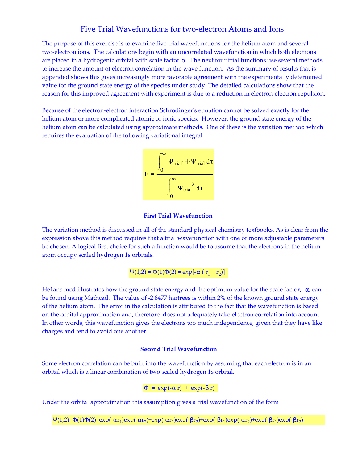# Five Trial Wavefunctions for two-electron Atoms and Ions

The purpose of this exercise is to examine five trial wavefunctions for the helium atom and several two-electron ions. The calculations begin with an uncorrelated wavefunction in which both electrons are placed in a hydrogenic orbital with scale factor α. The next four trial functions use several methods to increase the amount of electron correlation in the wave function. As the summary of results that is appended shows this gives increasingly more favorable agreement with the experimentally determined value for the ground state energy of the species under study. The detailed calculations show that the reason for this improved agreement with experiment is due to a reduction in electron-electron repulsion.

Because of the electron-electron interaction Schrodinger's equation cannot be solved exactly for the helium atom or more complicated atomic or ionic species. However, the ground state energy of the helium atom can be calculated using approximate methods. One of these is the variation method which requires the evaluation of the following variational integral.



## **First Trial Wavefunction**

The variation method is discussed in all of the standard physical chemistry textbooks. As is clear from the expression above this method requires that a trial wavefunction with one or more adjustable parameters be chosen. A logical first choice for such a function would be to assume that the electrons in the helium atom occupy scaled hydrogen 1s orbitals.

$$
\Psi(1,2) = \Phi(1)\Phi(2) = \exp[-\alpha (r_1 + r_2)]
$$

He1ans.mcd illustrates how the ground state energy and the optimum value for the scale factor,  $\alpha$ , can be found using Mathcad. The value of -2.8477 hartrees is within 2% of the known ground state energy of the helium atom. The error in the calculation is attributed to the fact that the wavefunction is based on the orbital approximation and, therefore, does not adequately take electron correlation into account. In other words, this wavefunction gives the electrons too much independence, given that they have like charges and tend to avoid one another.

# **Second Trial Wavefunction**

Some electron correlation can be built into the wavefunction by assuming that each electron is in an orbital which is a linear combination of two scaled hydrogen 1s orbital.

$$
\Phi = \exp(-\alpha r) + \exp(-\beta r)
$$

Under the orbital approximation this assumption gives a trial wavefunction of the form

 $\Psi(1,2)=\Phi(1)\Phi(2)=\exp(-\alpha r_1)\exp(-\alpha r_2)+\exp(-\alpha r_1)\exp(-\beta r_2)+\exp(-\beta r_1)\exp(-\alpha r_2)+\exp(-\beta r_1)\exp(-\beta r_2)$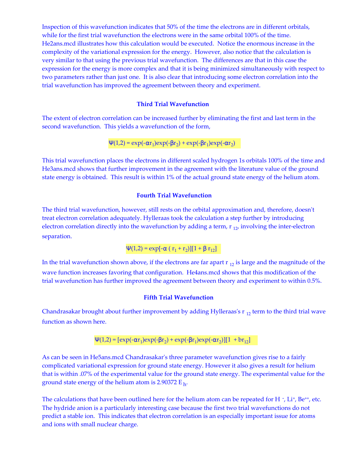Inspection of this wavefunction indicates that 50% of the time the electrons are in different orbitals, while for the first trial wavefunction the electrons were in the same orbital 100% of the time. He2ans.mcd illustrates how this calculation would be executed. Notice the enormous increase in the complexity of the variational expression for the energy. However, also notice that the calculation is very similar to that using the previous trial wavefunction. The differences are that in this case the expression for the energy is more complex and that it is being minimized simultaneously with respect to two parameters rather than just one. It is also clear that introducing some electron correlation into the trial wavefunction has improved the agreement between theory and experiment.

#### **Third Trial Wavefunction**

The extent of electron correlation can be increased further by eliminating the first and last term in the second wavefunction. This yields a wavefunction of the form,

$$
\Psi(1,2)=\exp(-\alpha r_1)\exp(-\beta r_2)+\exp(-\beta r_1)\exp(-\alpha r_2)
$$

This trial wavefunction places the electrons in different scaled hydrogen 1s orbitals 100% of the time and He3ans.mcd shows that further improvement in the agreement with the literature value of the ground state energy is obtained. This result is within 1% of the actual ground state energy of the helium atom.

#### **Fourth Trial Wavefunction**

The third trial wavefunction, however, still rests on the orbital approximation and, therefore, doesn't treat electron correlation adequately. Hylleraas took the calculation a step further by introducing electron correlation directly into the wavefunction by adding a term,  $r_{12}$ , involving the inter-electron separation.

$$
\Psi(1,2) = \exp[-\alpha (r_1 + r_2)][1 + \beta r_{12}]
$$

In the trial wavefunction shown above, if the electrons are far apart  $r_{12}$  is large and the magnitude of the wave function increases favoring that configuration. He4ans.mcd shows that this modification of the trial wavefunction has further improved the agreement between theory and experiment to within 0.5%.

# **Fifth Trial Wavefunction**

Chandrasakar brought about further improvement by adding Hylleraas's  $r_{12}$  term to the third trial wave function as shown here.

$$
\Psi(1,2) = [\exp(-\alpha r_1)\exp(-\beta r_2) + \exp(-\beta r_1)\exp(-\alpha r_2)][1 + br_{12}]
$$

As can be seen in He5ans.mcd Chandrasakar's three parameter wavefunction gives rise to a fairly complicated variational expression for ground state energy. However it also gives a result for helium that is within .07% of the experimental value for the ground state energy. The experimental value for the ground state energy of the helium atom is 2.90372  $\rm E_{\,h}$ .

The calculations that have been outlined here for the helium atom can be repeated for H $\cdot$ , Li $\cdot$ , Be $^{+}$ , etc. The hydride anion is a particularly interesting case because the first two trial wavefunctions do not predict a stable ion. This indicates that electron correlation is an especially important issue for atoms and ions with small nuclear charge.